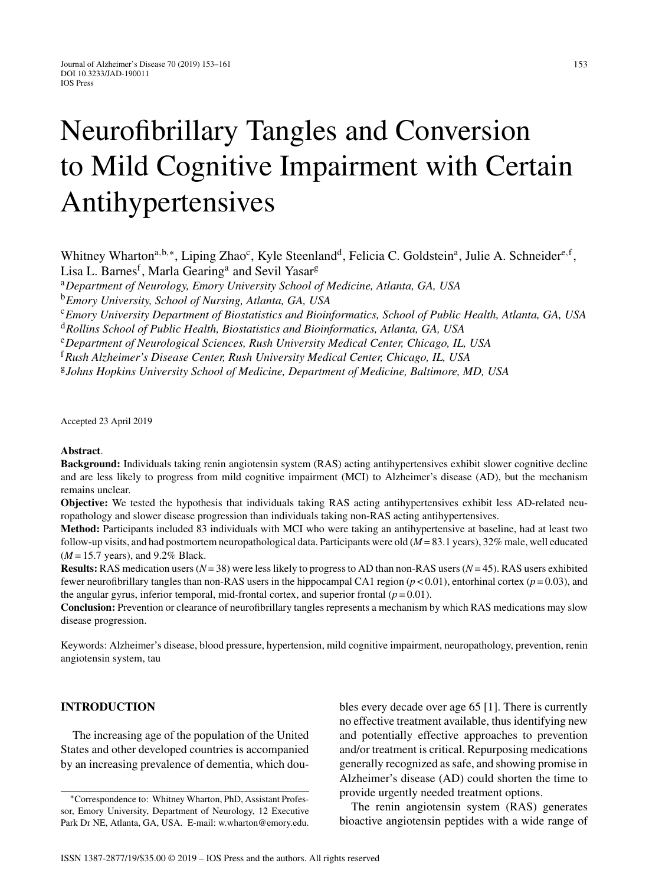# Neurofibrillary Tangles and Conversion to Mild Cognitive Impairment with Certain Antihypertensives

Whitney Wharton<sup>a,b,∗</sup>, Liping Zhao<sup>c</sup>, Kyle Steenland<sup>d</sup>, Felicia C. Goldstein<sup>a</sup>, Julie A. Schneider<sup>e,f</sup>, Lisa L. Barnes<sup>f</sup>, Marla Gearing<sup>a</sup> and Sevil Yasar<sup>g</sup>

<sup>a</sup>*Department of Neurology, Emory University School of Medicine, Atlanta, GA, USA*

<sup>b</sup>*Emory University, School of Nursing, Atlanta, GA, USA*

<sup>c</sup>*Emory University Department of Biostatistics and Bioinformatics, School of Public Health, Atlanta, GA, USA*

<sup>d</sup>*Rollins School of Public Health, Biostatistics and Bioinformatics, Atlanta, GA, USA*

<sup>e</sup>*Department of Neurological Sciences, Rush University Medical Center, Chicago, IL, USA*

<sup>f</sup>*Rush Alzheimer's Disease Center, Rush University Medical Center, Chicago, IL, USA*

<sup>g</sup>*Johns Hopkins University School of Medicine, Department of Medicine, Baltimore, MD, USA*

Accepted 23 April 2019

#### **Abstract**.

**Background:** Individuals taking renin angiotensin system (RAS) acting antihypertensives exhibit slower cognitive decline and are less likely to progress from mild cognitive impairment (MCI) to Alzheimer's disease (AD), but the mechanism remains unclear.

**Objective:** We tested the hypothesis that individuals taking RAS acting antihypertensives exhibit less AD-related neuropathology and slower disease progression than individuals taking non-RAS acting antihypertensives.

**Method:** Participants included 83 individuals with MCI who were taking an antihypertensive at baseline, had at least two follow-up visits, and had postmortem neuropathological data. Participants were old (*M* = 83.1 years), 32% male, well educated  $(M = 15.7$  years), and 9.2% Black.

**Results:** RAS medication users (*N*= 38) were less likely to progress to AD than non-RAS users (*N*= 45). RAS users exhibited fewer neurofibrillary tangles than non-RAS users in the hippocampal CA1 region  $(p<0.01)$ , entorhinal cortex  $(p=0.03)$ , and the angular gyrus, inferior temporal, mid-frontal cortex, and superior frontal  $(p=0.01)$ .

**Conclusion:** Prevention or clearance of neurofibrillary tangles represents a mechanism by which RAS medications may slow disease progression.

Keywords: Alzheimer's disease, blood pressure, hypertension, mild cognitive impairment, neuropathology, prevention, renin angiotensin system, tau

# **INTRODUCTION**

The increasing age of the population of the United States and other developed countries is accompanied by an increasing prevalence of dementia, which doubles every decade over age 65 [1]. There is currently no effective treatment available, thus identifying new and potentially effective approaches to prevention and/or treatment is critical. Repurposing medications generally recognized as safe, and showing promise in Alzheimer's disease (AD) could shorten the time to provide urgently needed treatment options.

The renin angiotensin system (RAS) generates bioactive angiotensin peptides with a wide range of

<sup>∗</sup>Correspondence to: Whitney Wharton, PhD, Assistant Professor, Emory University, Department of Neurology, 12 Executive Park Dr NE, Atlanta, GA, USA. E-mail: [w.wharton@emory.edu](mailto:w.wharton@emory.edu).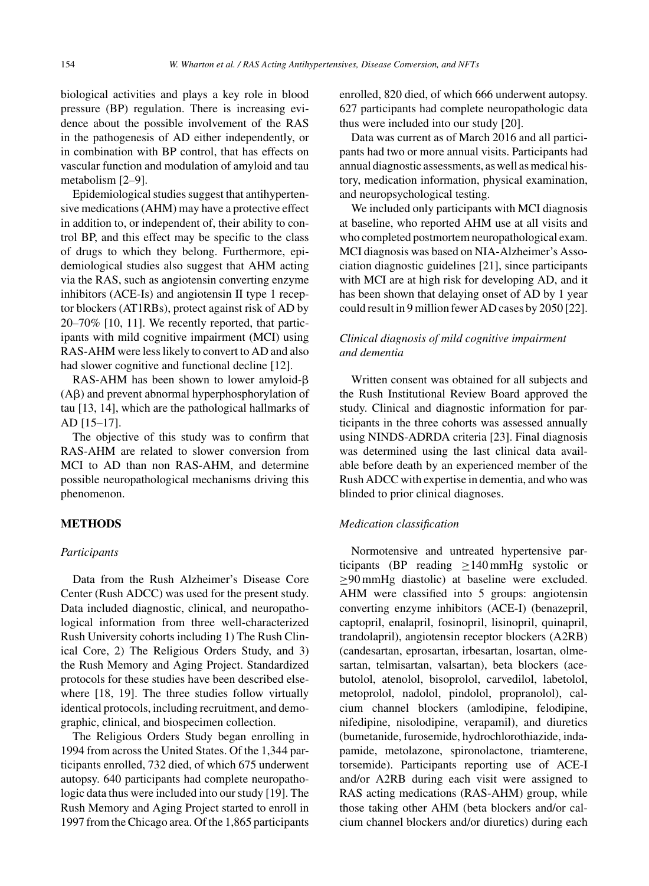biological activities and plays a key role in blood pressure (BP) regulation. There is increasing evidence about the possible involvement of the RAS in the pathogenesis of AD either independently, or in combination with BP control, that has effects on vascular function and modulation of amyloid and tau metabolism [2–9].

Epidemiological studies suggest that antihypertensive medications (AHM) may have a protective effect in addition to, or independent of, their ability to control BP, and this effect may be specific to the class of drugs to which they belong. Furthermore, epidemiological studies also suggest that AHM acting via the RAS, such as angiotensin converting enzyme inhibitors (ACE-Is) and angiotensin II type 1 receptor blockers (AT1RBs), protect against risk of AD by 20–70% [10, 11]. We recently reported, that participants with mild cognitive impairment (MCI) using RAS-AHM were less likely to convert to AD and also had slower cognitive and functional decline [12].

RAS-AHM has been shown to lower amyloid- $\beta$  $(A\beta)$  and prevent abnormal hyperphosphorylation of tau [13, 14], which are the pathological hallmarks of AD [15–17].

The objective of this study was to confirm that RAS-AHM are related to slower conversion from MCI to AD than non RAS-AHM, and determine possible neuropathological mechanisms driving this phenomenon.

# **METHODS**

# *Participants*

Data from the Rush Alzheimer's Disease Core Center (Rush ADCC) was used for the present study. Data included diagnostic, clinical, and neuropathological information from three well-characterized Rush University cohorts including 1) The Rush Clinical Core, 2) The Religious Orders Study, and 3) the Rush Memory and Aging Project. Standardized protocols for these studies have been described elsewhere [18, 19]. The three studies follow virtually identical protocols, including recruitment, and demographic, clinical, and biospecimen collection.

The Religious Orders Study began enrolling in 1994 from across the United States. Of the 1,344 participants enrolled, 732 died, of which 675 underwent autopsy. 640 participants had complete neuropathologic data thus were included into our study [19]. The Rush Memory and Aging Project started to enroll in 1997 from the Chicago area. Of the 1,865 participants enrolled, 820 died, of which 666 underwent autopsy. 627 participants had complete neuropathologic data thus were included into our study [20].

Data was current as of March 2016 and all participants had two or more annual visits. Participants had annual diagnostic assessments, as well as medical history, medication information, physical examination, and neuropsychological testing.

We included only participants with MCI diagnosis at baseline, who reported AHM use at all visits and who completed postmortem neuropathological exam. MCI diagnosis was based on NIA-Alzheimer's Association diagnostic guidelines [21], since participants with MCI are at high risk for developing AD, and it has been shown that delaying onset of AD by 1 year could result in 9 million fewer AD cases by 2050 [22].

# *Clinical diagnosis of mild cognitive impairment and dementia*

Written consent was obtained for all subjects and the Rush Institutional Review Board approved the study. Clinical and diagnostic information for participants in the three cohorts was assessed annually using NINDS-ADRDA criteria [23]. Final diagnosis was determined using the last clinical data available before death by an experienced member of the Rush ADCC with expertise in dementia, and who was blinded to prior clinical diagnoses.

# *Medication classification*

Normotensive and untreated hypertensive participants (BP reading ≥140 mmHg systolic or ≥90 mmHg diastolic) at baseline were excluded. AHM were classified into 5 groups: angiotensin converting enzyme inhibitors (ACE-I) (benazepril, captopril, enalapril, fosinopril, lisinopril, quinapril, trandolapril), angiotensin receptor blockers (A2RB) (candesartan, eprosartan, irbesartan, losartan, olmesartan, telmisartan, valsartan), beta blockers (acebutolol, atenolol, bisoprolol, carvedilol, labetolol, metoprolol, nadolol, pindolol, propranolol), calcium channel blockers (amlodipine, felodipine, nifedipine, nisolodipine, verapamil), and diuretics (bumetanide, furosemide, hydrochlorothiazide, indapamide, metolazone, spironolactone, triamterene, torsemide). Participants reporting use of ACE-I and/or A2RB during each visit were assigned to RAS acting medications (RAS-AHM) group, while those taking other AHM (beta blockers and/or calcium channel blockers and/or diuretics) during each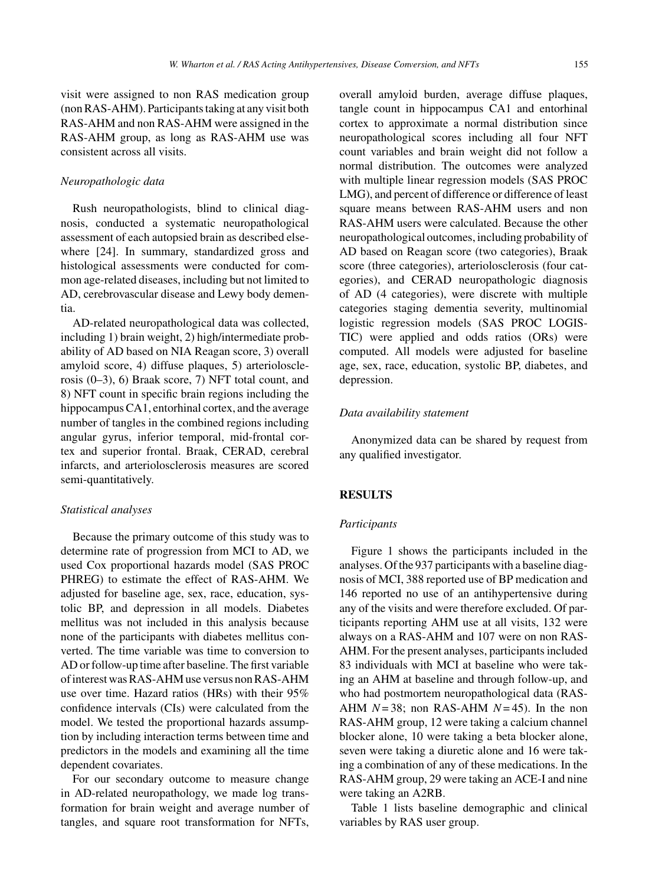visit were assigned to non RAS medication group (non RAS-AHM). Participants taking at any visit both RAS-AHM and non RAS-AHM were assigned in the RAS-AHM group, as long as RAS-AHM use was consistent across all visits.

# *Neuropathologic data*

Rush neuropathologists, blind to clinical diagnosis, conducted a systematic neuropathological assessment of each autopsied brain as described elsewhere [24]. In summary, standardized gross and histological assessments were conducted for common age-related diseases, including but not limited to AD, cerebrovascular disease and Lewy body dementia.

AD-related neuropathological data was collected, including 1) brain weight, 2) high/intermediate probability of AD based on NIA Reagan score, 3) overall amyloid score, 4) diffuse plaques, 5) arteriolosclerosis (0–3), 6) Braak score, 7) NFT total count, and 8) NFT count in specific brain regions including the hippocampus CA1, entorhinal cortex, and the average number of tangles in the combined regions including angular gyrus, inferior temporal, mid-frontal cortex and superior frontal. Braak, CERAD, cerebral infarcts, and arteriolosclerosis measures are scored semi-quantitatively.

## *Statistical analyses*

Because the primary outcome of this study was to determine rate of progression from MCI to AD, we used Cox proportional hazards model (SAS PROC PHREG) to estimate the effect of RAS-AHM. We adjusted for baseline age, sex, race, education, systolic BP, and depression in all models. Diabetes mellitus was not included in this analysis because none of the participants with diabetes mellitus converted. The time variable was time to conversion to AD or follow-up time after baseline. The first variable of interest was RAS-AHM use versus non RAS-AHM use over time. Hazard ratios (HRs) with their 95% confidence intervals (CIs) were calculated from the model. We tested the proportional hazards assumption by including interaction terms between time and predictors in the models and examining all the time dependent covariates.

For our secondary outcome to measure change in AD-related neuropathology, we made log transformation for brain weight and average number of tangles, and square root transformation for NFTs,

overall amyloid burden, average diffuse plaques, tangle count in hippocampus CA1 and entorhinal cortex to approximate a normal distribution since neuropathological scores including all four NFT count variables and brain weight did not follow a normal distribution. The outcomes were analyzed with multiple linear regression models (SAS PROC LMG), and percent of difference or difference of least square means between RAS-AHM users and non RAS-AHM users were calculated. Because the other neuropathological outcomes, including probability of AD based on Reagan score (two categories), Braak score (three categories), arteriolosclerosis (four categories), and CERAD neuropathologic diagnosis of AD (4 categories), were discrete with multiple categories staging dementia severity, multinomial logistic regression models (SAS PROC LOGIS-TIC) were applied and odds ratios (ORs) were computed. All models were adjusted for baseline age, sex, race, education, systolic BP, diabetes, and depression.

#### *Data availability statement*

Anonymized data can be shared by request from any qualified investigator.

# **RESULTS**

## *Participants*

Figure 1 shows the participants included in the analyses. Of the 937 participants with a baseline diagnosis of MCI, 388 reported use of BP medication and 146 reported no use of an antihypertensive during any of the visits and were therefore excluded. Of participants reporting AHM use at all visits, 132 were always on a RAS-AHM and 107 were on non RAS-AHM. For the present analyses, participants included 83 individuals with MCI at baseline who were taking an AHM at baseline and through follow-up, and who had postmortem neuropathological data (RAS-AHM  $N = 38$ ; non RAS-AHM  $N = 45$ ). In the non RAS-AHM group, 12 were taking a calcium channel blocker alone, 10 were taking a beta blocker alone, seven were taking a diuretic alone and 16 were taking a combination of any of these medications. In the RAS-AHM group, 29 were taking an ACE-I and nine were taking an A2RB.

Table 1 lists baseline demographic and clinical variables by RAS user group.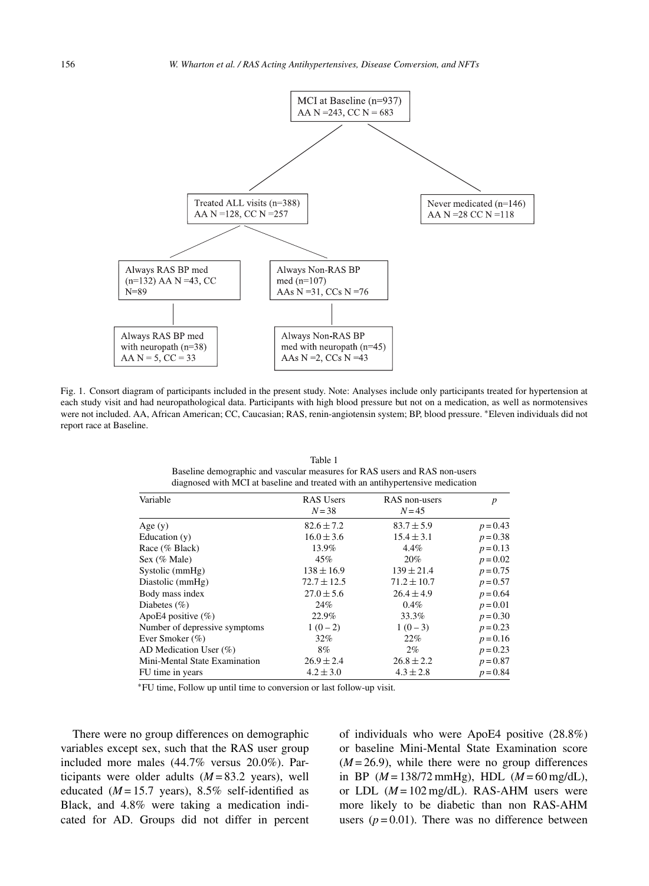

Fig. 1. Consort diagram of participants included in the present study. Note: Analyses include only participants treated for hypertension at each study visit and had neuropathological data. Participants with high blood pressure but not on a medication, as well as normotensives were not included. AA, African American; CC, Caucasian; RAS, renin-angiotensin system; BP, blood pressure. ∗Eleven individuals did not report race at Baseline.

Table 1 Baseline demographic and vascular measures for RAS users and RAS non-users diagnosed with MCI at baseline and treated with an antihypertensive medication

| Variable                      | <b>RAS</b> Users | RAS non-users   | p          |
|-------------------------------|------------------|-----------------|------------|
|                               | $N = 38$         | $N = 45$        |            |
| Age $(y)$                     | $82.6 \pm 7.2$   | $83.7 \pm 5.9$  | $p = 0.43$ |
| Education $(y)$               | $16.0 \pm 3.6$   | $15.4 \pm 3.1$  | $p = 0.38$ |
| Race (% Black)                | 13.9%            | 4.4%            | $p = 0.13$ |
| Sex (% Male)                  | 45%              | 20%             | $p = 0.02$ |
| Systolic (mmHg)               | $138 \pm 16.9$   | $139 \pm 21.4$  | $p = 0.75$ |
| Diastolic (mmHg)              | $72.7 \pm 12.5$  | $71.2 \pm 10.7$ | $p = 0.57$ |
| Body mass index               | $27.0 \pm 5.6$   | $26.4 \pm 4.9$  | $p = 0.64$ |
| Diabetes $(\% )$              | 24%              | 0.4%            | $p = 0.01$ |
| ApoE4 positive $(\% )$        | 22.9%            | 33.3%           | $p = 0.30$ |
| Number of depressive symptoms | $1(0-2)$         | $1(0-3)$        | $p = 0.23$ |
| Ever Smoker $(\% )$           | 32%              | 22%             | $p = 0.16$ |
| AD Medication User (%)        | 8%               | $2\%$           | $p = 0.23$ |
| Mini-Mental State Examination | $26.9 \pm 2.4$   | $26.8 \pm 2.2$  | $p = 0.87$ |
| FU time in years              | $4.2 \pm 3.0$    | $4.3 \pm 2.8$   | $p = 0.84$ |

∗FU time, Follow up until time to conversion or last follow-up visit.

There were no group differences on demographic variables except sex, such that the RAS user group included more males (44.7% versus 20.0%). Participants were older adults  $(M = 83.2 \text{ years})$ , well educated  $(M = 15.7$  years), 8.5% self-identified as Black, and 4.8% were taking a medication indicated for AD. Groups did not differ in percent of individuals who were ApoE4 positive (28.8%) or baseline Mini-Mental State Examination score  $(M=26.9)$ , while there were no group differences in BP  $(M = 138/72 \text{ mmHg})$ , HDL  $(M = 60 \text{ mg/dL})$ , or LDL  $(M = 102 \text{ mg/dL})$ . RAS-AHM users were more likely to be diabetic than non RAS-AHM users  $(p=0.01)$ . There was no difference between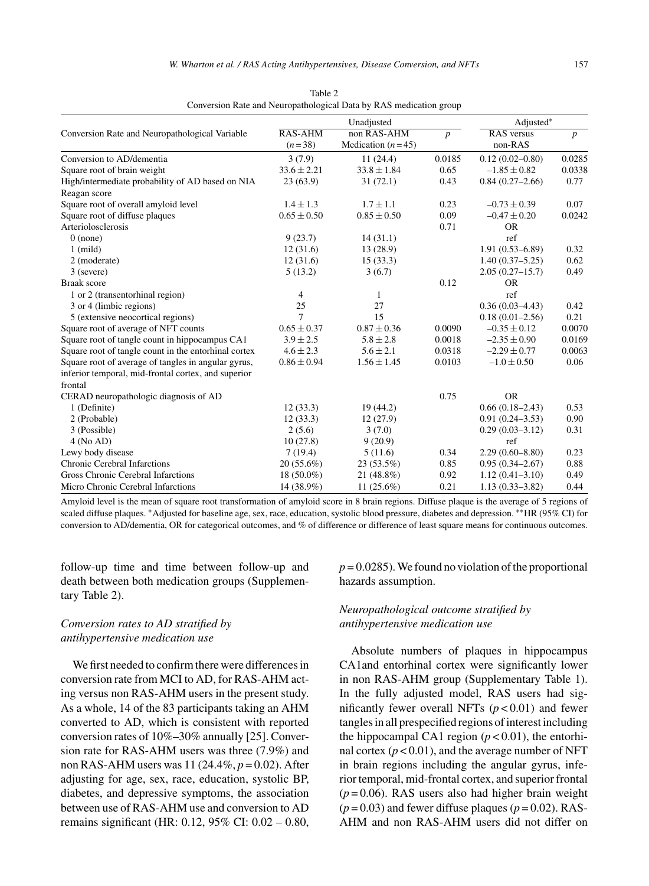| Conversion Rate and Neuropathological Variable       | Unadjusted            |                                    | Adjusted*        |                              |                  |
|------------------------------------------------------|-----------------------|------------------------------------|------------------|------------------------------|------------------|
|                                                      | $RAS-AHM$<br>$(n=38)$ | non RAS-AHM<br>Medication $(n=45)$ | $\boldsymbol{p}$ | <b>RAS</b> versus<br>non-RAS | $\boldsymbol{p}$ |
| Conversion to AD/dementia                            | 3(7.9)                | 11(24.4)                           | 0.0185           | $0.12(0.02 - 0.80)$          | 0.0285           |
| Square root of brain weight                          | $33.6 \pm 2.21$       | $33.8 \pm 1.84$                    | 0.65             | $-1.85 \pm 0.82$             | 0.0338           |
| High/intermediate probability of AD based on NIA     | 23(63.9)              | 31(72.1)                           | 0.43             | $0.84(0.27-2.66)$            | 0.77             |
| Reagan score                                         |                       |                                    |                  |                              |                  |
| Square root of overall amyloid level                 | $1.4 \pm 1.3$         | $1.7 \pm 1.1$                      | 0.23             | $-0.73 \pm 0.39$             | 0.07             |
| Square root of diffuse plaques                       | $0.65 \pm 0.50$       | $0.85 \pm 0.50$                    | 0.09             | $-0.47 \pm 0.20$             | 0.0242           |
| Arteriolosclerosis                                   |                       |                                    | 0.71             | <b>OR</b>                    |                  |
| $0$ (none)                                           | 9(23.7)               | 14(31.1)                           |                  | ref                          |                  |
| $1$ (mild)                                           | 12(31.6)              | 13(28.9)                           |                  | $1.91(0.53 - 6.89)$          | 0.32             |
| 2 (moderate)                                         | 12(31.6)              | 15(33.3)                           |                  | $1.40(0.37 - 5.25)$          | 0.62             |
| 3 (severe)                                           | 5(13.2)               | 3(6.7)                             |                  | $2.05(0.27-15.7)$            | 0.49             |
| Braak score                                          |                       |                                    | 0.12             | <b>OR</b>                    |                  |
| 1 or 2 (transentorhinal region)                      | 4                     | 1                                  |                  | ref                          |                  |
| 3 or 4 (limbic regions)                              | 25                    | 27                                 |                  | $0.36(0.03-4.43)$            | 0.42             |
| 5 (extensive neocortical regions)                    | 7                     | 15                                 |                  | $0.18(0.01 - 2.56)$          | 0.21             |
| Square root of average of NFT counts                 | $0.65 \pm 0.37$       | $0.87 \pm 0.36$                    | 0.0090           | $-0.35 \pm 0.12$             | 0.0070           |
| Square root of tangle count in hippocampus CA1       | $3.9 \pm 2.5$         | $5.8 \pm 2.8$                      | 0.0018           | $-2.35 \pm 0.90$             | 0.0169           |
| Square root of tangle count in the entorhinal cortex | $4.6 \pm 2.3$         | $5.6 \pm 2.1$                      | 0.0318           | $-2.29 \pm 0.77$             | 0.0063           |
| Square root of average of tangles in angular gyrus,  | $0.86 \pm 0.94$       | $1.56 \pm 1.45$                    | 0.0103           | $-1.0 \pm 0.50$              | 0.06             |
| inferior temporal, mid-frontal cortex, and superior  |                       |                                    |                  |                              |                  |
| frontal                                              |                       |                                    |                  |                              |                  |
| CERAD neuropathologic diagnosis of AD                |                       |                                    | 0.75             | <b>OR</b>                    |                  |
| 1 (Definite)                                         | 12(33.3)              | 19 (44.2)                          |                  | $0.66(0.18-2.43)$            | 0.53             |
| 2 (Probable)                                         | 12(33.3)              | 12(27.9)                           |                  | $0.91(0.24 - 3.53)$          | 0.90             |
| 3 (Possible)                                         | 2(5.6)                | 3(7.0)                             |                  | $0.29(0.03 - 3.12)$          | 0.31             |
| 4 (No AD)                                            | 10(27.8)              | 9(20.9)<br>ref                     |                  |                              |                  |
| Lewy body disease                                    | 7(19.4)               | 5(11.6)                            | 0.34             | $2.29(0.60 - 8.80)$          | 0.23             |
| <b>Chronic Cerebral Infarctions</b>                  | $20(55.6\%)$          | 23 (53.5%)                         | 0.85             | $0.95(0.34 - 2.67)$          | 0.88             |
| Gross Chronic Cerebral Infarctions                   | 18 (50.0%)            | 21 (48.8%)                         | 0.92             | $1.12(0.41 - 3.10)$          | 0.49             |
| Micro Chronic Cerebral Infarctions                   | 14 (38.9%)            | $11(25.6\%)$                       | 0.21             | $1.13(0.33 - 3.82)$          | 0.44             |

Table 2 Conversion Rate and Neuropathological Data by RAS medication group

Amyloid level is the mean of square root transformation of amyloid score in 8 brain regions. Diffuse plaque is the average of 5 regions of scaled diffuse plaques. \*Adjusted for baseline age, sex, race, education, systolic blood pressure, diabetes and depression. \*\*HR (95% CI) for conversion to AD/dementia, OR for categorical outcomes, and % of difference or difference of least square means for continuous outcomes.

follow-up time and time between follow-up and death between both medication groups (Supplementary Table 2).

# *Conversion rates to AD stratified by antihypertensive medication use*

We first needed to confirm there were differences in conversion rate from MCI to AD, for RAS-AHM acting versus non RAS-AHM users in the present study. As a whole, 14 of the 83 participants taking an AHM converted to AD, which is consistent with reported conversion rates of 10%–30% annually [25]. Conversion rate for RAS-AHM users was three (7.9%) and non RAS-AHM users was 11 (24.4%, *p* = 0.02). After adjusting for age, sex, race, education, systolic BP, diabetes, and depressive symptoms, the association between use of RAS-AHM use and conversion to AD remains significant (HR: 0.12, 95% CI: 0.02 – 0.80,

 $p = 0.0285$ . We found no violation of the proportional hazards assumption.

# *Neuropathological outcome stratified by antihypertensive medication use*

Absolute numbers of plaques in hippocampus CA1and entorhinal cortex were significantly lower in non RAS-AHM group (Supplementary Table 1). In the fully adjusted model, RAS users had significantly fewer overall NFTs  $(p<0.01)$  and fewer tangles in all prespecified regions of interest including the hippocampal CA1 region  $(p < 0.01)$ , the entorhinal cortex  $(p < 0.01)$ , and the average number of NFT in brain regions including the angular gyrus, inferior temporal, mid-frontal cortex, and superior frontal  $(p=0.06)$ . RAS users also had higher brain weight  $(p=0.03)$  and fewer diffuse plaques  $(p=0.02)$ . RAS-AHM and non RAS-AHM users did not differ on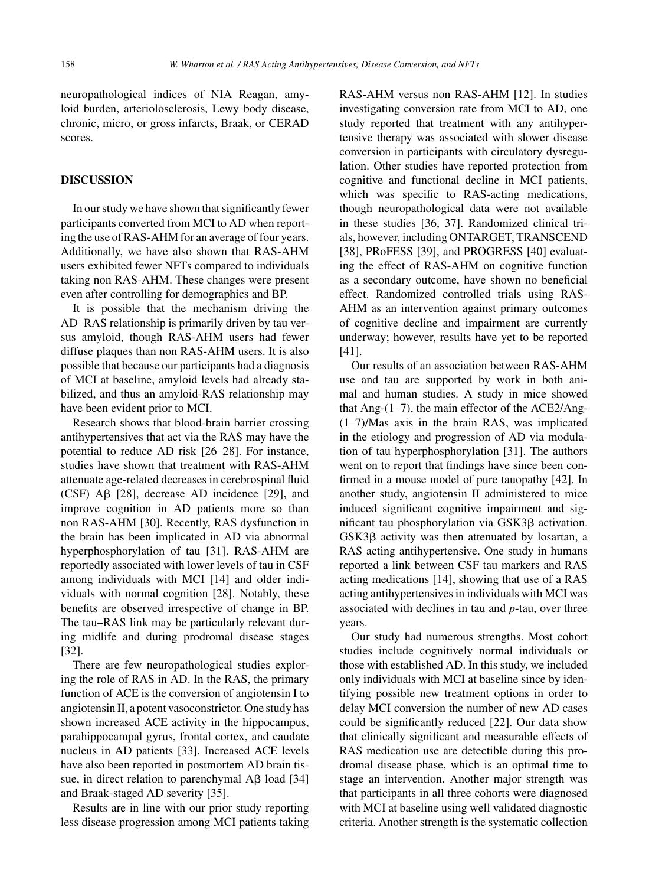neuropathological indices of NIA Reagan, amyloid burden, arteriolosclerosis, Lewy body disease, chronic, micro, or gross infarcts, Braak, or CERAD scores.

## **DISCUSSION**

In our study we have shown that significantly fewer participants converted from MCI to AD when reporting the use of RAS-AHM for an average of four years. Additionally, we have also shown that RAS-AHM users exhibited fewer NFTs compared to individuals taking non RAS-AHM. These changes were present even after controlling for demographics and BP.

It is possible that the mechanism driving the AD–RAS relationship is primarily driven by tau versus amyloid, though RAS-AHM users had fewer diffuse plaques than non RAS-AHM users. It is also possible that because our participants had a diagnosis of MCI at baseline, amyloid levels had already stabilized, and thus an amyloid-RAS relationship may have been evident prior to MCI.

Research shows that blood-brain barrier crossing antihypertensives that act via the RAS may have the potential to reduce AD risk [26–28]. For instance, studies have shown that treatment with RAS-AHM attenuate age-related decreases in cerebrospinal fluid  $(CSF)$  A $\beta$  [28], decrease AD incidence [29], and improve cognition in AD patients more so than non RAS-AHM [30]. Recently, RAS dysfunction in the brain has been implicated in AD via abnormal hyperphosphorylation of tau [31]. RAS-AHM are reportedly associated with lower levels of tau in CSF among individuals with MCI [14] and older individuals with normal cognition [28]. Notably, these benefits are observed irrespective of change in BP. The tau–RAS link may be particularly relevant during midlife and during prodromal disease stages [32].

There are few neuropathological studies exploring the role of RAS in AD. In the RAS, the primary function of ACE is the conversion of angiotensin I to angiotensin II, a potent vasoconstrictor. One study has shown increased ACE activity in the hippocampus, parahippocampal gyrus, frontal cortex, and caudate nucleus in AD patients [33]. Increased ACE levels have also been reported in postmortem AD brain tissue, in direct relation to parenchymal  $\text{A}\beta$  load [34] and Braak-staged AD severity [35].

Results are in line with our prior study reporting less disease progression among MCI patients taking RAS-AHM versus non RAS-AHM [12]. In studies investigating conversion rate from MCI to AD, one study reported that treatment with any antihypertensive therapy was associated with slower disease conversion in participants with circulatory dysregulation. Other studies have reported protection from cognitive and functional decline in MCI patients, which was specific to RAS-acting medications, though neuropathological data were not available in these studies [36, 37]. Randomized clinical trials, however, including ONTARGET, TRANSCEND [38], PRoFESS [39], and PROGRESS [40] evaluating the effect of RAS-AHM on cognitive function as a secondary outcome, have shown no beneficial effect. Randomized controlled trials using RAS-AHM as an intervention against primary outcomes of cognitive decline and impairment are currently underway; however, results have yet to be reported [41].

Our results of an association between RAS-AHM use and tau are supported by work in both animal and human studies. A study in mice showed that Ang-(1–7), the main effector of the ACE2/Ang- (1–7)/Mas axis in the brain RAS, was implicated in the etiology and progression of AD via modulation of tau hyperphosphorylation [31]. The authors went on to report that findings have since been confirmed in a mouse model of pure tauopathy [42]. In another study, angiotensin II administered to mice induced significant cognitive impairment and significant tau phosphorylation via GSK3ß activation.  $GSK3\beta$  activity was then attenuated by losartan, a RAS acting antihypertensive. One study in humans reported a link between CSF tau markers and RAS acting medications [14], showing that use of a RAS acting antihypertensives in individuals with MCI was associated with declines in tau and *p*-tau, over three years.

Our study had numerous strengths. Most cohort studies include cognitively normal individuals or those with established AD. In this study, we included only individuals with MCI at baseline since by identifying possible new treatment options in order to delay MCI conversion the number of new AD cases could be significantly reduced [22]. Our data show that clinically significant and measurable effects of RAS medication use are detectible during this prodromal disease phase, which is an optimal time to stage an intervention. Another major strength was that participants in all three cohorts were diagnosed with MCI at baseline using well validated diagnostic criteria. Another strength is the systematic collection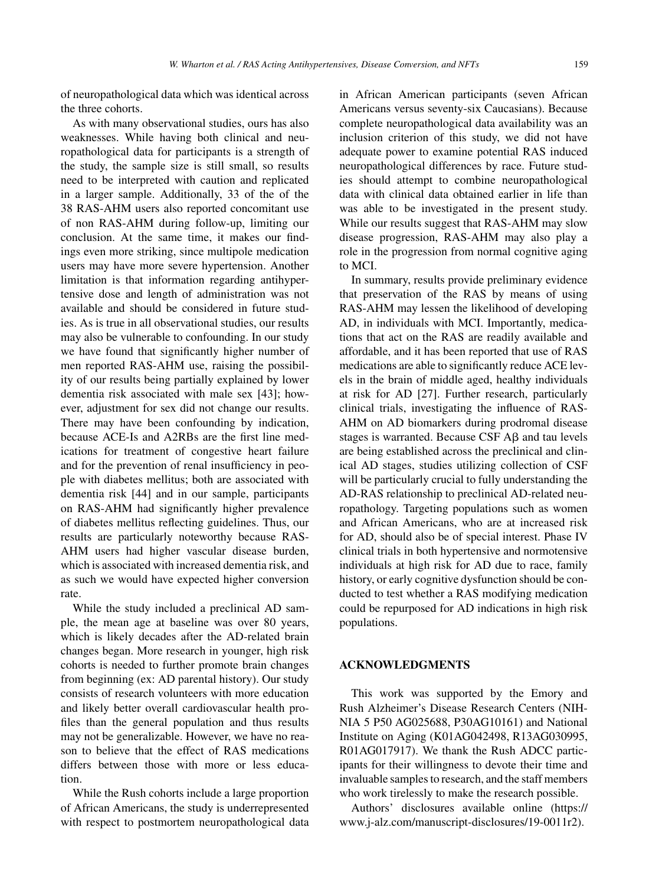of neuropathological data which was identical across the three cohorts.

As with many observational studies, ours has also weaknesses. While having both clinical and neuropathological data for participants is a strength of the study, the sample size is still small, so results need to be interpreted with caution and replicated in a larger sample. Additionally, 33 of the of the 38 RAS-AHM users also reported concomitant use of non RAS-AHM during follow-up, limiting our conclusion. At the same time, it makes our findings even more striking, since multipole medication users may have more severe hypertension. Another limitation is that information regarding antihypertensive dose and length of administration was not available and should be considered in future studies. As is true in all observational studies, our results may also be vulnerable to confounding. In our study we have found that significantly higher number of men reported RAS-AHM use, raising the possibility of our results being partially explained by lower dementia risk associated with male sex [43]; however, adjustment for sex did not change our results. There may have been confounding by indication, because ACE-Is and A2RBs are the first line medications for treatment of congestive heart failure and for the prevention of renal insufficiency in people with diabetes mellitus; both are associated with dementia risk [44] and in our sample, participants on RAS-AHM had significantly higher prevalence of diabetes mellitus reflecting guidelines. Thus, our results are particularly noteworthy because RAS-AHM users had higher vascular disease burden, which is associated with increased dementia risk, and as such we would have expected higher conversion rate.

While the study included a preclinical AD sample, the mean age at baseline was over 80 years, which is likely decades after the AD-related brain changes began. More research in younger, high risk cohorts is needed to further promote brain changes from beginning (ex: AD parental history). Our study consists of research volunteers with more education and likely better overall cardiovascular health profiles than the general population and thus results may not be generalizable. However, we have no reason to believe that the effect of RAS medications differs between those with more or less education.

While the Rush cohorts include a large proportion of African Americans, the study is underrepresented with respect to postmortem neuropathological data in African American participants (seven African Americans versus seventy-six Caucasians). Because complete neuropathological data availability was an inclusion criterion of this study, we did not have adequate power to examine potential RAS induced neuropathological differences by race. Future studies should attempt to combine neuropathological data with clinical data obtained earlier in life than was able to be investigated in the present study. While our results suggest that RAS-AHM may slow disease progression, RAS-AHM may also play a role in the progression from normal cognitive aging to MCI.

In summary, results provide preliminary evidence that preservation of the RAS by means of using RAS-AHM may lessen the likelihood of developing AD, in individuals with MCI. Importantly, medications that act on the RAS are readily available and affordable, and it has been reported that use of RAS medications are able to significantly reduce ACE levels in the brain of middle aged, healthy individuals at risk for AD [27]. Further research, particularly clinical trials, investigating the influence of RAS-AHM on AD biomarkers during prodromal disease stages is warranted. Because CSF  $\mathsf{A}\mathsf{B}$  and tau levels are being established across the preclinical and clinical AD stages, studies utilizing collection of CSF will be particularly crucial to fully understanding the AD-RAS relationship to preclinical AD-related neuropathology. Targeting populations such as women and African Americans, who are at increased risk for AD, should also be of special interest. Phase IV clinical trials in both hypertensive and normotensive individuals at high risk for AD due to race, family history, or early cognitive dysfunction should be conducted to test whether a RAS modifying medication could be repurposed for AD indications in high risk populations.

## **ACKNOWLEDGMENTS**

This work was supported by the Emory and Rush Alzheimer's Disease Research Centers (NIH-NIA 5 P50 AG025688, P30AG10161) and National Institute on Aging (K01AG042498, R13AG030995, R01AG017917). We thank the Rush ADCC participants for their willingness to devote their time and invaluable samples to research, and the staff members who work tirelessly to make the research possible.

Authors' disclosures available online [\(https://](https://www.j-alz.com/manuscript-disclosures/19-0011r2) [www.j-alz.com/manuscript-disclosures/19-0011r2\)](https://www.j-alz.com/manuscript-disclosures/19-0011r2).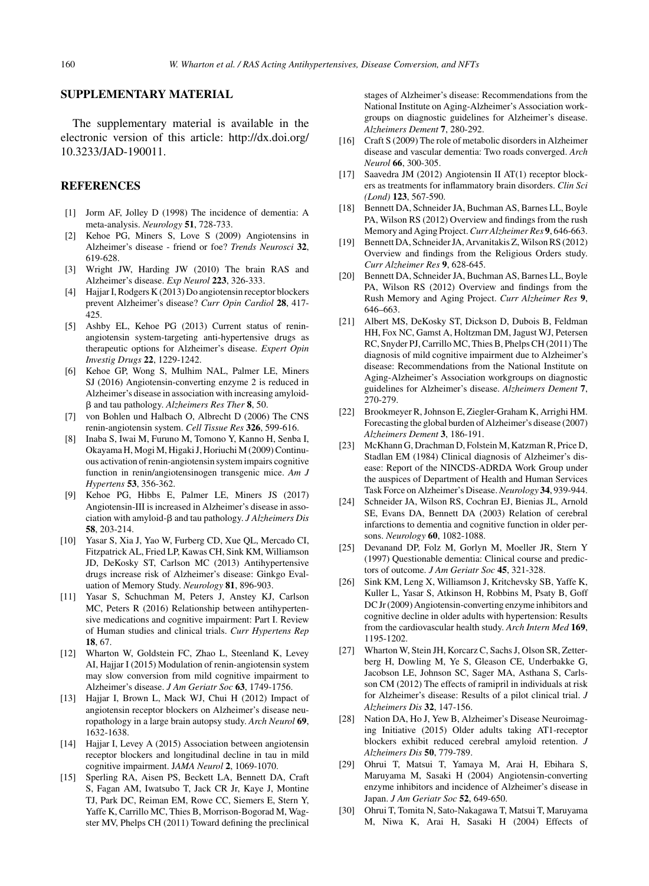## **SUPPLEMENTARY MATERIAL**

The supplementary material is available in the electronic version of this article: [http://dx.doi.org/](http://dx.doi.org/10.3233/JAD-190011) [10.3233/JAD-190011.](http://dx.doi.org/10.3233/JAD-190011)

## **REFERENCES**

- [1] Jorm AF, Jolley D (1998) The incidence of dementia: A meta-analysis. *Neurology* **51**, 728-733.
- [2] Kehoe PG, Miners S, Love S (2009) Angiotensins in Alzheimer's disease - friend or foe? *Trends Neurosci* **32**, 619-628.
- [3] Wright JW, Harding JW (2010) The brain RAS and Alzheimer's disease. *Exp Neurol* **223**, 326-333.
- [4] Hajjar I, Rodgers K (2013) Do angiotensin receptor blockers prevent Alzheimer's disease? *Curr Opin Cardiol* **28**, 417- 425.
- [5] Ashby EL, Kehoe PG (2013) Current status of reninangiotensin system-targeting anti-hypertensive drugs as therapeutic options for Alzheimer's disease. *Expert Opin Investig Drugs* **22**, 1229-1242.
- [6] Kehoe GP, Wong S, Mulhim NAL, Palmer LE, Miners SJ (2016) Angiotensin-converting enzyme 2 is reduced in Alzheimer's disease in association with increasing amyloid- - and tau pathology. *Alzheimers Res Ther* **8**, 50.
- [7] von Bohlen und Halbach O, Albrecht D (2006) The CNS renin-angiotensin system. *Cell Tissue Res* **326**, 599-616.
- [8] Inaba S, Iwai M, Furuno M, Tomono Y, Kanno H, Senba I, Okayama H, Mogi M, Higaki J, Horiuchi M (2009) Continuous activation of renin-angiotensin system impairs cognitive function in renin/angiotensinogen transgenic mice. *Am J Hypertens* **53**, 356-362.
- [9] Kehoe PG, Hibbs E, Palmer LE, Miners JS (2017) Angiotensin-III is increased in Alzheimer's disease in association with amyloid- $\beta$  and tau pathology. *J Alzheimers Dis* **58**, 203-214.
- [10] Yasar S, Xia J, Yao W, Furberg CD, Xue QL, Mercado CI, Fitzpatrick AL, Fried LP, Kawas CH, Sink KM, Williamson JD, DeKosky ST, Carlson MC (2013) Antihypertensive drugs increase risk of Alzheimer's disease: Ginkgo Evaluation of Memory Study. *Neurology* **81**, 896-903.
- [11] Yasar S, Schuchman M, Peters J, Anstey KJ, Carlson MC, Peters R (2016) Relationship between antihypertensive medications and cognitive impairment: Part I. Review of Human studies and clinical trials. *Curr Hypertens Rep* **18**, 67.
- [12] Wharton W, Goldstein FC, Zhao L, Steenland K, Levey AI, Hajjar I (2015) Modulation of renin-angiotensin system may slow conversion from mild cognitive impairment to Alzheimer's disease. *J Am Geriatr Soc* **63**, 1749-1756.
- [13] Hajjar I, Brown L, Mack WJ, Chui H (2012) Impact of angiotensin receptor blockers on Alzheimer's disease neuropathology in a large brain autopsy study. *Arch Neurol* **69**, 1632-1638.
- [14] Hajjar I, Levey A (2015) Association between angiotensin receptor blockers and longitudinal decline in tau in mild cognitive impairment. J*AMA Neurol* **2**, 1069-1070.
- [15] Sperling RA, Aisen PS, Beckett LA, Bennett DA, Craft S, Fagan AM, Iwatsubo T, Jack CR Jr, Kaye J, Montine TJ, Park DC, Reiman EM, Rowe CC, Siemers E, Stern Y, Yaffe K, Carrillo MC, Thies B, Morrison-Bogorad M, Wagster MV, Phelps CH (2011) Toward defining the preclinical

stages of Alzheimer's disease: Recommendations from the National Institute on Aging-Alzheimer's Association workgroups on diagnostic guidelines for Alzheimer's disease. *Alzheimers Dement* **7**, 280-292.

- [16] Craft S (2009) The role of metabolic disorders in Alzheimer disease and vascular dementia: Two roads converged. *Arch Neurol* **66**, 300-305.
- [17] Saavedra JM (2012) Angiotensin II AT(1) receptor blockers as treatments for inflammatory brain disorders. *Clin Sci (Lond)* **123**, 567-590.
- [18] Bennett DA, Schneider JA, Buchman AS, Barnes LL, Boyle PA, Wilson RS (2012) Overview and findings from the rush Memory and Aging Project.*Curr Alzheimer Res* **9**, 646-663.
- [19] Bennett DA, Schneider JA, Arvanitakis Z, Wilson RS (2012) Overview and findings from the Religious Orders study. *Curr Alzheimer Res* **9**, 628-645.
- [20] Bennett DA, Schneider JA, Buchman AS, Barnes LL, Boyle PA, Wilson RS (2012) Overview and findings from the Rush Memory and Aging Project. *Curr Alzheimer Res* **9**, 646–663.
- [21] Albert MS, DeKosky ST, Dickson D, Dubois B, Feldman HH, Fox NC, Gamst A, Holtzman DM, Jagust WJ, Petersen RC, Snyder PJ, Carrillo MC, Thies B, Phelps CH (2011) The diagnosis of mild cognitive impairment due to Alzheimer's disease: Recommendations from the National Institute on Aging-Alzheimer's Association workgroups on diagnostic guidelines for Alzheimer's disease. *Alzheimers Dement* **7**, 270-279.
- [22] Brookmeyer R, Johnson E, Ziegler-Graham K, Arrighi HM. Forecasting the global burden of Alzheimer's disease (2007) *Alzheimers Dement* **3**, 186-191.
- [23] McKhann G, Drachman D, Folstein M, Katzman R, Price D, Stadlan EM (1984) Clinical diagnosis of Alzheimer's disease: Report of the NINCDS-ADRDA Work Group under the auspices of Department of Health and Human Services Task Force on Alzheimer's Disease.*Neurology* **34**, 939-944.
- [24] Schneider JA, Wilson RS, Cochran EJ, Bienias JL, Arnold SE, Evans DA, Bennett DA (2003) Relation of cerebral infarctions to dementia and cognitive function in older persons. *Neurology* **60**, 1082-1088.
- [25] Devanand DP, Folz M, Gorlyn M, Moeller JR, Stern Y (1997) Questionable dementia: Clinical course and predictors of outcome. *J Am Geriatr Soc* **45**, 321-328.
- [26] Sink KM, Leng X, Williamson J, Kritchevsky SB, Yaffe K, Kuller L, Yasar S, Atkinson H, Robbins M, Psaty B, Goff DC Jr (2009) Angiotensin-converting enzyme inhibitors and cognitive decline in older adults with hypertension: Results from the cardiovascular health study. *Arch Intern Med* **169**, 1195-1202.
- [27] Wharton W, Stein JH, Korcarz C, Sachs J, Olson SR, Zetterberg H, Dowling M, Ye S, Gleason CE, Underbakke G, Jacobson LE, Johnson SC, Sager MA, Asthana S, Carlsson CM (2012) The effects of ramipril in individuals at risk for Alzheimer's disease: Results of a pilot clinical trial. *J Alzheimers Dis* **32**, 147-156.
- [28] Nation DA, Ho J, Yew B, Alzheimer's Disease Neuroimaging Initiative (2015) Older adults taking AT1-receptor blockers exhibit reduced cerebral amyloid retention. *J Alzheimers Dis* **50**, 779-789.
- [29] Ohrui T, Matsui T, Yamaya M, Arai H, Ebihara S, Maruyama M, Sasaki H (2004) Angiotensin-converting enzyme inhibitors and incidence of Alzheimer's disease in Japan. *J Am Geriatr Soc* **52**, 649-650.
- [30] Ohrui T, Tomita N, Sato-Nakagawa T, Matsui T, Maruyama M, Niwa K, Arai H, Sasaki H (2004) Effects of